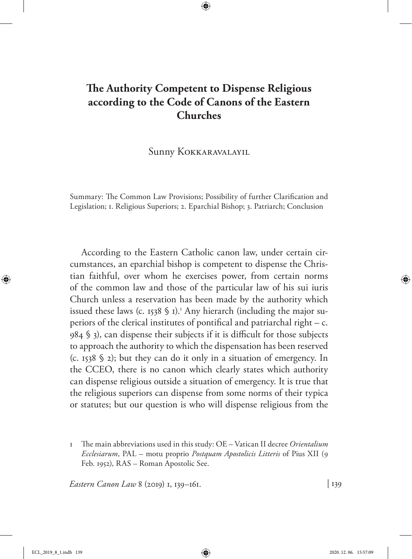# **The Authority Competent to Dispense Religious according to the Code of Canons of the Eastern Churches**

Sunny Kokkaravalayil

Summary: The Common Law Provisions; Possibility of further Clarification and Legislation; 1. Religious Superiors; 2. Eparchial Bishop; 3. Patriarch; Conclusion

According to the Eastern Catholic canon law, under certain circumstances, an eparchial bishop is competent to dispense the Christian faithful, over whom he exercises power, from certain norms of the common law and those of the particular law of his sui iuris Church unless a reservation has been made by the authority which issued these laws (c. 1538 § 1).<sup>1</sup> Any hierarch (including the major superiors of the clerical institutes of pontifical and patriarchal right – c. 984 § 3), can dispense their subjects if it is difficult for those subjects to approach the authority to which the dispensation has been reserved (c. 1538 § 2); but they can do it only in a situation of emergency. In the CCEO, there is no canon which clearly states which authority can dispense religious outside a situation of emergency. It is true that the religious superiors can dispense from some norms of their typica or statutes; but our question is who will dispense religious from the

1 The main abbreviations used in this study: OE – Vatican II decree *Orientalium Ecclesiarum*, PAL – motu proprio *Postquam Apostolicis Litteris* of Pius XII (9 Feb. 1952), RAS – Roman Apostolic See.

*Eastern Canon Law* 8 (2019) 1, 139–161. | 139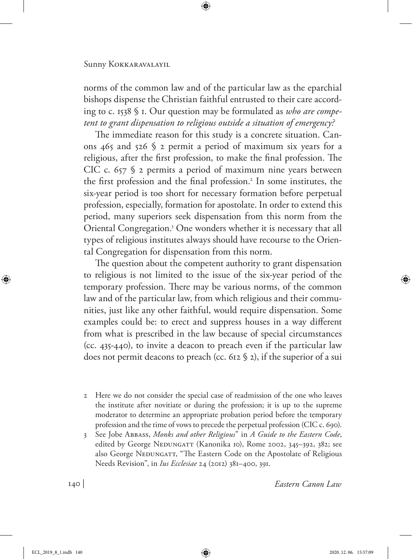norms of the common law and of the particular law as the eparchial bishops dispense the Christian faithful entrusted to their care according to c. 1538 § 1. Our question may be formulated as *who are competent to grant dispensation to religious outside a situation of emergency?*

The immediate reason for this study is a concrete situation. Canons 465 and 526  $\frac{6}{2}$  permit a period of maximum six years for a religious, after the first profession, to make the final profession. The CIC c.  $657$   $\frac{6}{2}$  permits a period of maximum nine years between the first profession and the final profession.<sup>2</sup> In some institutes, the six-year period is too short for necessary formation before perpetual profession, especially, formation for apostolate. In order to extend this period, many superiors seek dispensation from this norm from the Oriental Congregation.3 One wonders whether it is necessary that all types of religious institutes always should have recourse to the Oriental Congregation for dispensation from this norm.

The question about the competent authority to grant dispensation to religious is not limited to the issue of the six-year period of the temporary profession. There may be various norms, of the common law and of the particular law, from which religious and their communities, just like any other faithful, would require dispensation. Some examples could be: to erect and suppress houses in a way different from what is prescribed in the law because of special circumstances (cc. 435-440), to invite a deacon to preach even if the particular law does not permit deacons to preach (cc. 612 § 2), if the superior of a sui

- 2 Here we do not consider the special case of readmission of the one who leaves the institute after novitiate or during the profession; it is up to the supreme moderator to determine an appropriate probation period before the temporary profession and the time of vows to precede the perpetual profession (CIC c. 690).
- 3 See Jobe Abbass, *Monks and other Religious*" in *A Guide to the Eastern Code*, edited by George NEDUNGATT (Kanonika 10), Rome 2002, 345–392, 382; see also George NEDUNGATT, "The Eastern Code on the Apostolate of Religious Needs Revision", in *Ius Ecclesiae* 24 (2012) 381–400, 391.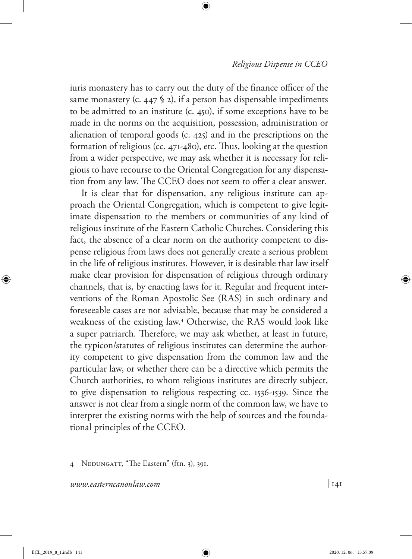iuris monastery has to carry out the duty of the finance officer of the same monastery (c. 447  $\S$  2), if a person has dispensable impediments to be admitted to an institute (c. 450), if some exceptions have to be made in the norms on the acquisition, possession, administration or alienation of temporal goods (c. 425) and in the prescriptions on the formation of religious (cc. 471-480), etc. Thus, looking at the question from a wider perspective, we may ask whether it is necessary for religious to have recourse to the Oriental Congregation for any dispensation from any law. The CCEO does not seem to offer a clear answer.

It is clear that for dispensation, any religious institute can approach the Oriental Congregation, which is competent to give legitimate dispensation to the members or communities of any kind of religious institute of the Eastern Catholic Churches. Considering this fact, the absence of a clear norm on the authority competent to dispense religious from laws does not generally create a serious problem in the life of religious institutes. However, it is desirable that law itself make clear provision for dispensation of religious through ordinary channels, that is, by enacting laws for it. Regular and frequent interventions of the Roman Apostolic See (RAS) in such ordinary and foreseeable cases are not advisable, because that may be considered a weakness of the existing law.4 Otherwise, the RAS would look like a super patriarch. Therefore, we may ask whether, at least in future, the typicon/statutes of religious institutes can determine the authority competent to give dispensation from the common law and the particular law, or whether there can be a directive which permits the Church authorities, to whom religious institutes are directly subject, to give dispensation to religious respecting cc. 1536-1539. Since the answer is not clear from a single norm of the common law, we have to interpret the existing norms with the help of sources and the foundational principles of the CCEO.

<sup>4</sup> NEDUNGATT, "The Eastern" (ftn. 3), 391.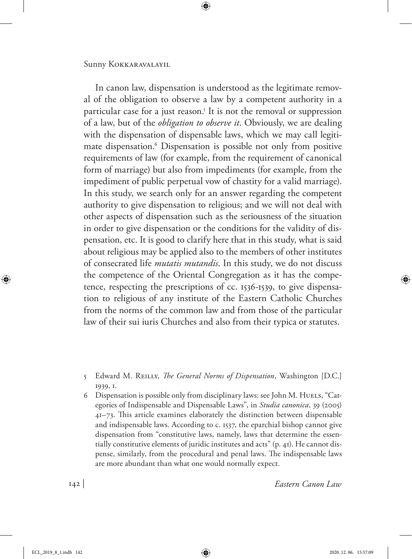In canon law, dispensation is understood as the legitimate removal of the obligation to observe a law by a competent authority in a particular case for a just reason.<sup>5</sup> It is not the removal or suppression of a law, but of the *obligation to observe it*. Obviously, we are dealing with the dispensation of dispensable laws, which we may call legitimate dispensation.6 Dispensation is possible not only from positive requirements of law (for example, from the requirement of canonical form of marriage) but also from impediments (for example, from the impediment of public perpetual vow of chastity for a valid marriage). In this study, we search only for an answer regarding the competent authority to give dispensation to religious; and we will not deal with other aspects of dispensation such as the seriousness of the situation in order to give dispensation or the conditions for the validity of dispensation, etc. It is good to clarify here that in this study, what is said about religious may be applied also to the members of other institutes of consecrated life *mutatis mutandis*. In this study, we do not discuss the competence of the Oriental Congregation as it has the competence, respecting the prescriptions of cc. 1536-1539, to give dispensation to religious of any institute of the Eastern Catholic Churches from the norms of the common law and from those of the particular law of their sui iuris Churches and also from their typica or statutes.

5 Edward M. Reilly, *The General Norms of Dispensation*, Washington [D.C.] 1939, 1.

6 Dispensation is possible only from disciplinary laws: see John M. Huels, "Categories of Indispensable and Dispensable Laws", in *Studia canonica*, 39 (2005) 41–73. This article examines elaborately the distinction between dispensable and indispensable laws. According to c. 1537, the eparchial bishop cannot give dispensation from "constitutive laws, namely, laws that determine the essentially constitutive elements of juridic institutes and acts" (p. 41). He cannot dispense, similarly, from the procedural and penal laws. The indispensable laws are more abundant than what one would normally expect.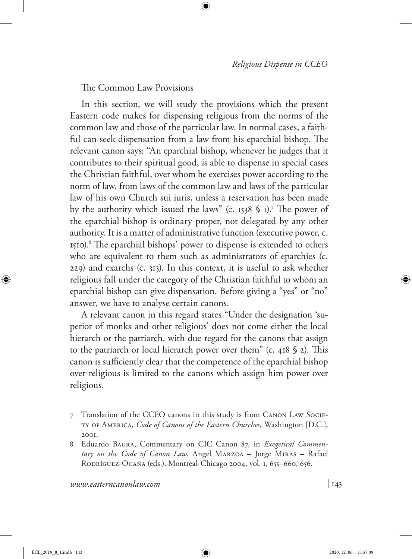The Common Law Provisions

In this section, we will study the provisions which the present Eastern code makes for dispensing religious from the norms of the common law and those of the particular law. In normal cases, a faithful can seek dispensation from a law from his eparchial bishop. The relevant canon says: "An eparchial bishop, whenever he judges that it contributes to their spiritual good, is able to dispense in special cases the Christian faithful, over whom he exercises power according to the norm of law, from laws of the common law and laws of the particular law of his own Church sui iuris, unless a reservation has been made by the authority which issued the laws" (c. 1538  $\frac{1}{3}$  ).<sup>7</sup> The power of the eparchial bishop is ordinary proper, not delegated by any other authority. It is a matter of administrative function (executive power, c. 1510).8 The eparchial bishops' power to dispense is extended to others who are equivalent to them such as administrators of eparchies (c. 229) and exarchs (c. 313). In this context, it is useful to ask whether religious fall under the category of the Christian faithful to whom an eparchial bishop can give dispensation. Before giving a "yes" or "no" answer, we have to analyse certain canons.

A relevant canon in this regard states "Under the designation 'superior of monks and other religious' does not come either the local hierarch or the patriarch, with due regard for the canons that assign to the patriarch or local hierarch power over them" (c. 418  $\S$  2). This canon is sufficiently clear that the competence of the eparchial bishop over religious is limited to the canons which assign him power over religious.

- 7 Translation of the CCEO canons in this study is from Canon Law Society of America, *Code of Canons of the Eastern Churches*, Washington [D.C.], 2001.
- 8 Eduardo Baura, Commentary on CIC Canon 87, in *Exegetical Commentary on the Code of Canon Law*, Angel Marzoa – Jorge Miras – Rafael RODRÍGUEZ-OCAÑA (eds.), Montreal-Chicago 2004, vol. 1, 655–660, 656.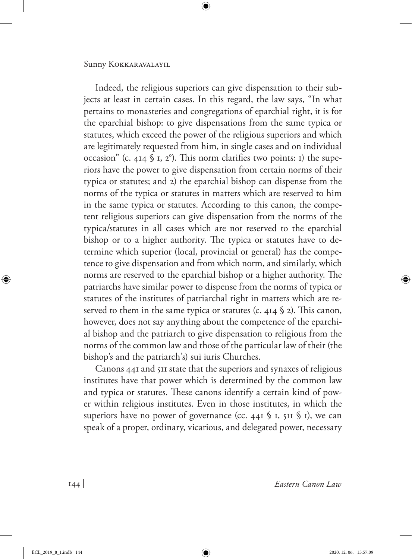Indeed, the religious superiors can give dispensation to their subjects at least in certain cases. In this regard, the law says, "In what pertains to monasteries and congregations of eparchial right, it is for the eparchial bishop: to give dispensations from the same typica or statutes, which exceed the power of the religious superiors and which are legitimately requested from him, in single cases and on individual occasion" (c. 414  $\frac{1}{2}$  I, 2°). This norm clarifies two points: 1) the superiors have the power to give dispensation from certain norms of their typica or statutes; and 2) the eparchial bishop can dispense from the norms of the typica or statutes in matters which are reserved to him in the same typica or statutes. According to this canon, the competent religious superiors can give dispensation from the norms of the typica/statutes in all cases which are not reserved to the eparchial bishop or to a higher authority. The typica or statutes have to determine which superior (local, provincial or general) has the competence to give dispensation and from which norm, and similarly, which norms are reserved to the eparchial bishop or a higher authority. The patriarchs have similar power to dispense from the norms of typica or statutes of the institutes of patriarchal right in matters which are reserved to them in the same typica or statutes (c. 414  $\S$  2). This canon, however, does not say anything about the competence of the eparchial bishop and the patriarch to give dispensation to religious from the norms of the common law and those of the particular law of their (the bishop's and the patriarch's) sui iuris Churches.

Canons 441 and 511 state that the superiors and synaxes of religious institutes have that power which is determined by the common law and typica or statutes. These canons identify a certain kind of power within religious institutes. Even in those institutes, in which the superiors have no power of governance (cc. 441  $\frac{1}{2}$  I, 511  $\frac{1}{2}$  I), we can speak of a proper, ordinary, vicarious, and delegated power, necessary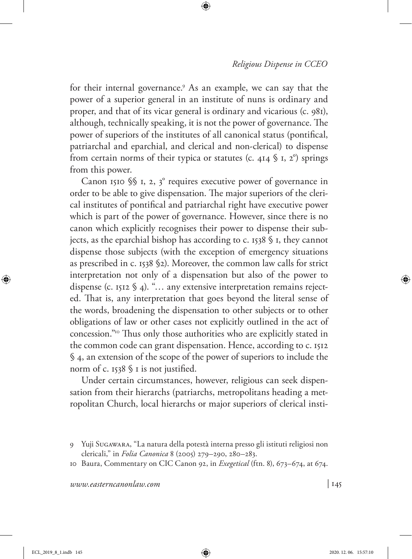for their internal governance.9 As an example, we can say that the power of a superior general in an institute of nuns is ordinary and proper, and that of its vicar general is ordinary and vicarious (c. 981), although, technically speaking, it is not the power of governance. The power of superiors of the institutes of all canonical status (pontifical, patriarchal and eparchial, and clerical and non-clerical) to dispense from certain norms of their typica or statutes (c. 414  $\S$  I, 2°) springs from this power.

Canon 1510  $\S$  1, 2, 3° requires executive power of governance in order to be able to give dispensation. The major superiors of the clerical institutes of pontifical and patriarchal right have executive power which is part of the power of governance. However, since there is no canon which explicitly recognises their power to dispense their subjects, as the eparchial bishop has according to c. 1538 § 1, they cannot dispense those subjects (with the exception of emergency situations as prescribed in c. 1538 §2). Moreover, the common law calls for strict interpretation not only of a dispensation but also of the power to dispense (c. 1512 § 4). "… any extensive interpretation remains rejected. That is, any interpretation that goes beyond the literal sense of the words, broadening the dispensation to other subjects or to other obligations of law or other cases not explicitly outlined in the act of concession."10 Thus only those authorities who are explicitly stated in the common code can grant dispensation. Hence, according to c. 1512 § 4, an extension of the scope of the power of superiors to include the norm of c. 1538 § 1 is not justified.

Under certain circumstances, however, religious can seek dispensation from their hierarchs (patriarchs, metropolitans heading a metropolitan Church, local hierarchs or major superiors of clerical insti-

<sup>9</sup> Yuji Sugawara, "La natura della potestà interna presso gli istituti religiosi non clericali," in *Folia Canonica* 8 (2005) 279–290, 280–283.

<sup>10</sup> Baura, Commentary on CIC Canon 92, in *Exegetical* (ftn. 8), 673–674, at 674.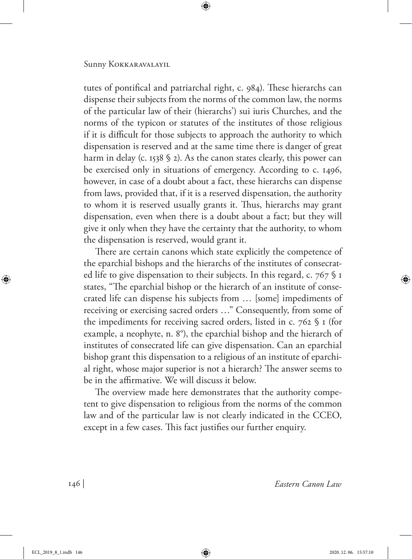tutes of pontifical and patriarchal right, c. 984). These hierarchs can dispense their subjects from the norms of the common law, the norms of the particular law of their (hierarchs') sui iuris Churches, and the norms of the typicon or statutes of the institutes of those religious if it is difficult for those subjects to approach the authority to which dispensation is reserved and at the same time there is danger of great harm in delay (c. 1538  $\frac{1}{2}$ ). As the canon states clearly, this power can be exercised only in situations of emergency. According to c. 1496, however, in case of a doubt about a fact, these hierarchs can dispense from laws, provided that, if it is a reserved dispensation, the authority to whom it is reserved usually grants it. Thus, hierarchs may grant dispensation, even when there is a doubt about a fact; but they will give it only when they have the certainty that the authority, to whom the dispensation is reserved, would grant it.

There are certain canons which state explicitly the competence of the eparchial bishops and the hierarchs of the institutes of consecrated life to give dispensation to their subjects. In this regard, c. 767 § 1 states, "The eparchial bishop or the hierarch of an institute of consecrated life can dispense his subjects from … [some] impediments of receiving or exercising sacred orders …" Consequently, from some of the impediments for receiving sacred orders, listed in c. 762 § 1 (for example, a neophyte, n. 8°), the eparchial bishop and the hierarch of institutes of consecrated life can give dispensation. Can an eparchial bishop grant this dispensation to a religious of an institute of eparchial right, whose major superior is not a hierarch? The answer seems to be in the affirmative. We will discuss it below.

The overview made here demonstrates that the authority competent to give dispensation to religious from the norms of the common law and of the particular law is not clearly indicated in the CCEO, except in a few cases. This fact justifies our further enquiry.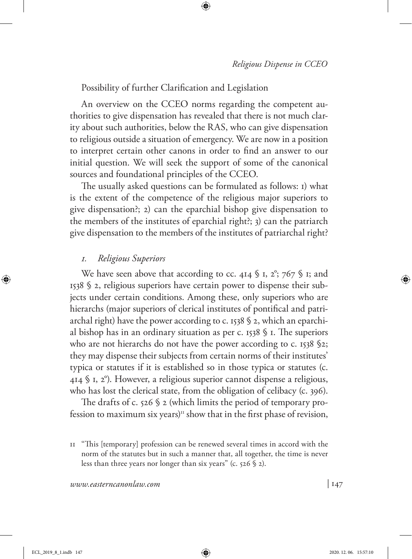Possibility of further Clarification and Legislation

An overview on the CCEO norms regarding the competent authorities to give dispensation has revealed that there is not much clarity about such authorities, below the RAS, who can give dispensation to religious outside a situation of emergency. We are now in a position to interpret certain other canons in order to find an answer to our initial question. We will seek the support of some of the canonical sources and foundational principles of the CCEO.

The usually asked questions can be formulated as follows: 1) what is the extent of the competence of the religious major superiors to give dispensation?; 2) can the eparchial bishop give dispensation to the members of the institutes of eparchial right?; 3) can the patriarch give dispensation to the members of the institutes of patriarchal right?

### *1. Religious Superiors*

We have seen above that according to cc. 414  $\frac{1}{2}$  I, 2°; 767  $\frac{1}{2}$  I; and 1538 § 2, religious superiors have certain power to dispense their subjects under certain conditions. Among these, only superiors who are hierarchs (major superiors of clerical institutes of pontifical and patriarchal right) have the power according to c. 1538 § 2, which an eparchial bishop has in an ordinary situation as per c. 1538  $\frac{6}{3}$  I. The superiors who are not hierarchs do not have the power according to c. 1538 §2; they may dispense their subjects from certain norms of their institutes' typica or statutes if it is established so in those typica or statutes (c. 414 § 1, 2°). However, a religious superior cannot dispense a religious, who has lost the clerical state, from the obligation of celibacy (c. 396).

The drafts of c. 526 § 2 (which limits the period of temporary profession to maximum six years)<sup>11</sup> show that in the first phase of revision,

<sup>11</sup> "This [temporary] profession can be renewed several times in accord with the norm of the statutes but in such a manner that, all together, the time is never less than three years nor longer than six years" (c. 526 § 2).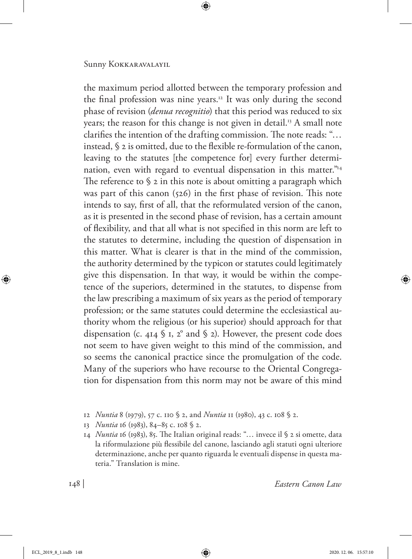the maximum period allotted between the temporary profession and the final profession was nine years.12 It was only during the second phase of revision (*denua recognitio*) that this period was reduced to six years; the reason for this change is not given in detail.<sup>13</sup> A small note clarifies the intention of the drafting commission. The note reads: "… instead, § 2 is omitted, due to the flexible re-formulation of the canon, leaving to the statutes [the competence for] every further determination, even with regard to eventual dispensation in this matter."<sup>14</sup> The reference to  $\S$  2 in this note is about omitting a paragraph which was part of this canon (526) in the first phase of revision. This note intends to say, first of all, that the reformulated version of the canon, as it is presented in the second phase of revision, has a certain amount of flexibility, and that all what is not specified in this norm are left to the statutes to determine, including the question of dispensation in this matter. What is clearer is that in the mind of the commission, the authority determined by the typicon or statutes could legitimately give this dispensation. In that way, it would be within the competence of the superiors, determined in the statutes, to dispense from the law prescribing a maximum of six years as the period of temporary profession; or the same statutes could determine the ecclesiastical authority whom the religious (or his superior) should approach for that dispensation (c. 414  $\frac{6}{3}$  I, 2° and  $\frac{6}{3}$  2). However, the present code does not seem to have given weight to this mind of the commission, and so seems the canonical practice since the promulgation of the code. Many of the superiors who have recourse to the Oriental Congregation for dispensation from this norm may not be aware of this mind

- 12 *Nuntia* 8 (1979), 57 c. 110 § 2, and *Nuntia* 11 (1980), 43 c. 108 § 2.
- 13 *Nuntia* 16 (1983), 84–85 c. 108 § 2.

14 *Nuntia* 16 (1983), 85. The Italian original reads: "… invece il § 2 si omette, data la riformulazione più flessibile del canone, lasciando agli statuti ogni ulteriore determinazione, anche per quanto riguarda le eventuali dispense in questa materia." Translation is mine.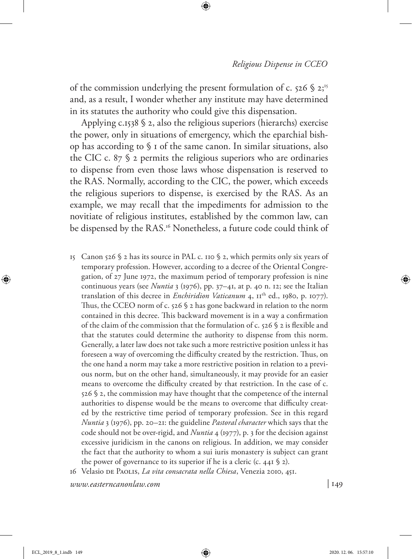of the commission underlying the present formulation of c.  $526$  \$  $2;15$ and, as a result, I wonder whether any institute may have determined in its statutes the authority who could give this dispensation.

Applying  $c.1538 \text{ }\frac{6}{3}z$ , also the religious superiors (hierarchs) exercise the power, only in situations of emergency, which the eparchial bishop has according to § 1 of the same canon. In similar situations, also the CIC c.  $87\$  2 permits the religious superiors who are ordinaries to dispense from even those laws whose dispensation is reserved to the RAS. Normally, according to the CIC, the power, which exceeds the religious superiors to dispense, is exercised by the RAS. As an example, we may recall that the impediments for admission to the novitiate of religious institutes, established by the common law, can be dispensed by the RAS.<sup>16</sup> Nonetheless, a future code could think of

- 15 Canon 526  $\frac{1}{2}$  has its source in PAL c. 110  $\frac{1}{2}$  2, which permits only six years of temporary profession. However, according to a decree of the Oriental Congregation, of 27 June 1972, the maximum period of temporary profession is nine continuous years (see *Nuntia* 3 (1976), pp. 37–41, at p. 40 n. 12; see the Italian translation of this decree in *Enchiridion Vaticanum* 4,  $II<sup>th</sup>$  ed., 1980, p. 1077). Thus, the CCEO norm of c. 526 § 2 has gone backward in relation to the norm contained in this decree. This backward movement is in a way a confirmation of the claim of the commission that the formulation of c. 526 § 2 is flexible and that the statutes could determine the authority to dispense from this norm. Generally, a later law does not take such a more restrictive position unless it has foreseen a way of overcoming the difficulty created by the restriction. Thus, on the one hand a norm may take a more restrictive position in relation to a previous norm, but on the other hand, simultaneously, it may provide for an easier means to overcome the difficulty created by that restriction. In the case of c. 526 § 2, the commission may have thought that the competence of the internal authorities to dispense would be the means to overcome that difficulty created by the restrictive time period of temporary profession. See in this regard *Nuntia* 3 (1976), pp. 20–21: the guideline *Pastoral character* which says that the code should not be over-rigid, and *Nuntia* 4 (1977), p. 3 for the decision against excessive juridicism in the canons on religious. In addition, we may consider the fact that the authority to whom a sui iuris monastery is subject can grant the power of governance to its superior if he is a cleric (c. 441  $\S$  2).
- 16 Velasio de Paolis, *La vita consacrata nella Chiesa*, Venezia 2010, 451.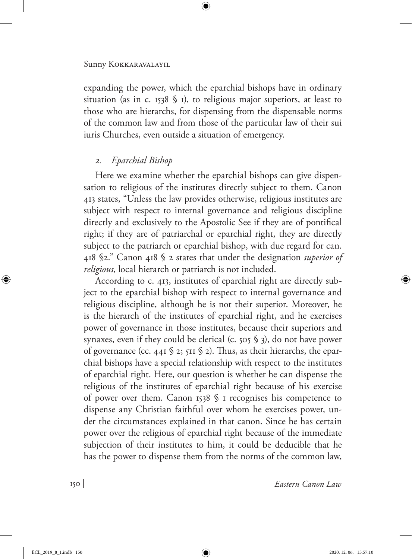expanding the power, which the eparchial bishops have in ordinary situation (as in c. 1538  $\frac{1}{2}$  I), to religious major superiors, at least to those who are hierarchs, for dispensing from the dispensable norms of the common law and from those of the particular law of their sui iuris Churches, even outside a situation of emergency.

# *2. Eparchial Bishop*

Here we examine whether the eparchial bishops can give dispensation to religious of the institutes directly subject to them. Canon 413 states, "Unless the law provides otherwise, religious institutes are subject with respect to internal governance and religious discipline directly and exclusively to the Apostolic See if they are of pontifical right; if they are of patriarchal or eparchial right, they are directly subject to the patriarch or eparchial bishop, with due regard for can. 418 §2." Canon 418 § 2 states that under the designation *superior of religious*, local hierarch or patriarch is not included.

According to c. 413, institutes of eparchial right are directly subject to the eparchial bishop with respect to internal governance and religious discipline, although he is not their superior. Moreover, he is the hierarch of the institutes of eparchial right, and he exercises power of governance in those institutes, because their superiors and synaxes, even if they could be clerical (c. 505 § 3), do not have power of governance (cc. 441  $\S$  2; 511  $\S$  2). Thus, as their hierarchs, the eparchial bishops have a special relationship with respect to the institutes of eparchial right. Here, our question is whether he can dispense the religious of the institutes of eparchial right because of his exercise of power over them. Canon 1538 § 1 recognises his competence to dispense any Christian faithful over whom he exercises power, under the circumstances explained in that canon. Since he has certain power over the religious of eparchial right because of the immediate subjection of their institutes to him, it could be deducible that he has the power to dispense them from the norms of the common law,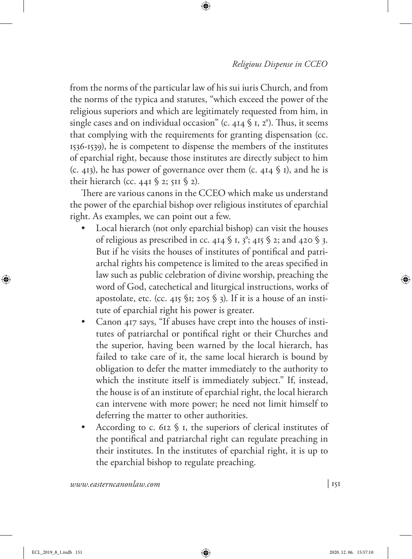from the norms of the particular law of his sui iuris Church, and from the norms of the typica and statutes, "which exceed the power of the religious superiors and which are legitimately requested from him, in single cases and on individual occasion" (c. 414  $\frac{1}{2}$  J, 2°). Thus, it seems that complying with the requirements for granting dispensation (cc. 1536-1539), he is competent to dispense the members of the institutes of eparchial right, because those institutes are directly subject to him (c. 413), he has power of governance over them (c. 414  $\frac{1}{9}$  I), and he is their hierarch (cc. 441  $\S$  2; 511  $\S$  2).

There are various canons in the CCEO which make us understand the power of the eparchial bishop over religious institutes of eparchial right. As examples, we can point out a few.

- Local hierarch (not only eparchial bishop) can visit the houses of religious as prescribed in cc. 414  $\frac{6}{3}$  I, 3<sup>°</sup>; 415  $\frac{6}{3}$  2; and 420  $\frac{6}{3}$ . But if he visits the houses of institutes of pontifical and patriarchal rights his competence is limited to the areas specified in law such as public celebration of divine worship, preaching the word of God, catechetical and liturgical instructions, works of apostolate, etc. (cc. 415  $$1; 205$   $$3)$ . If it is a house of an institute of eparchial right his power is greater.
- Canon 417 says, "If abuses have crept into the houses of institutes of patriarchal or pontifical right or their Churches and the superior, having been warned by the local hierarch, has failed to take care of it, the same local hierarch is bound by obligation to defer the matter immediately to the authority to which the institute itself is immediately subject." If, instead, the house is of an institute of eparchial right, the local hierarch can intervene with more power; he need not limit himself to deferring the matter to other authorities.
- According to c. 612  $\frac{6}{3}$  I, the superiors of clerical institutes of the pontifical and patriarchal right can regulate preaching in their institutes. In the institutes of eparchial right, it is up to the eparchial bishop to regulate preaching.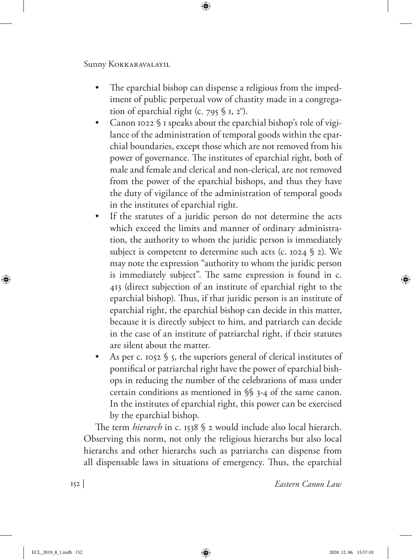- The eparchial bishop can dispense a religious from the impediment of public perpetual vow of chastity made in a congregation of eparchial right (c. 795  $$ I, 2^{\circ}$ ).
- Canon 1022 § 1 speaks about the eparchial bishop's role of vigilance of the administration of temporal goods within the eparchial boundaries, except those which are not removed from his power of governance. The institutes of eparchial right, both of male and female and clerical and non-clerical, are not removed from the power of the eparchial bishops, and thus they have the duty of vigilance of the administration of temporal goods in the institutes of eparchial right.
- If the statutes of a juridic person do not determine the acts which exceed the limits and manner of ordinary administration, the authority to whom the juridic person is immediately subject is competent to determine such acts (c. 1024 § 2). We may note the expression "authority to whom the juridic person is immediately subject". The same expression is found in c. 413 (direct subjection of an institute of eparchial right to the eparchial bishop). Thus, if that juridic person is an institute of eparchial right, the eparchial bishop can decide in this matter, because it is directly subject to him, and patriarch can decide in the case of an institute of patriarchal right, if their statutes are silent about the matter.
- As per c. 1052 § 5, the superiors general of clerical institutes of pontifical or patriarchal right have the power of eparchial bishops in reducing the number of the celebrations of mass under certain conditions as mentioned in §§ 3-4 of the same canon. In the institutes of eparchial right, this power can be exercised by the eparchial bishop.

The term *hierarch* in c. 1538 § 2 would include also local hierarch. Observing this norm, not only the religious hierarchs but also local hierarchs and other hierarchs such as patriarchs can dispense from all dispensable laws in situations of emergency. Thus, the eparchial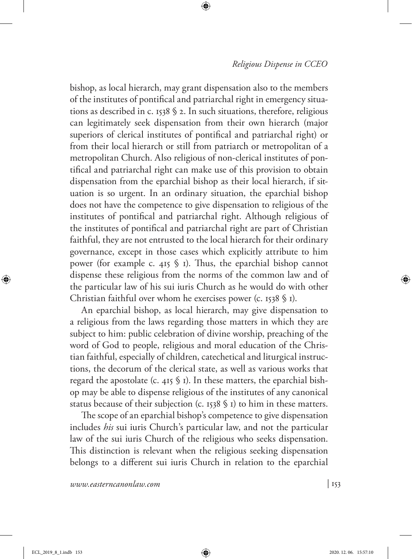bishop, as local hierarch, may grant dispensation also to the members of the institutes of pontifical and patriarchal right in emergency situations as described in c. 1538 § 2. In such situations, therefore, religious can legitimately seek dispensation from their own hierarch (major superiors of clerical institutes of pontifical and patriarchal right) or from their local hierarch or still from patriarch or metropolitan of a metropolitan Church. Also religious of non-clerical institutes of pontifical and patriarchal right can make use of this provision to obtain dispensation from the eparchial bishop as their local hierarch, if situation is so urgent. In an ordinary situation, the eparchial bishop does not have the competence to give dispensation to religious of the institutes of pontifical and patriarchal right. Although religious of the institutes of pontifical and patriarchal right are part of Christian faithful, they are not entrusted to the local hierarch for their ordinary governance, except in those cases which explicitly attribute to him power (for example c. 415  $\frac{1}{2}$  1). Thus, the eparchial bishop cannot dispense these religious from the norms of the common law and of the particular law of his sui iuris Church as he would do with other Christian faithful over whom he exercises power (c. 1538 § 1).

An eparchial bishop, as local hierarch, may give dispensation to a religious from the laws regarding those matters in which they are subject to him: public celebration of divine worship, preaching of the word of God to people, religious and moral education of the Christian faithful, especially of children, catechetical and liturgical instructions, the decorum of the clerical state, as well as various works that regard the apostolate (c. 415  $\$  1). In these matters, the eparchial bishop may be able to dispense religious of the institutes of any canonical status because of their subjection (c. 1538 § 1) to him in these matters.

The scope of an eparchial bishop's competence to give dispensation includes *his* sui iuris Church's particular law, and not the particular law of the sui iuris Church of the religious who seeks dispensation. This distinction is relevant when the religious seeking dispensation belongs to a different sui iuris Church in relation to the eparchial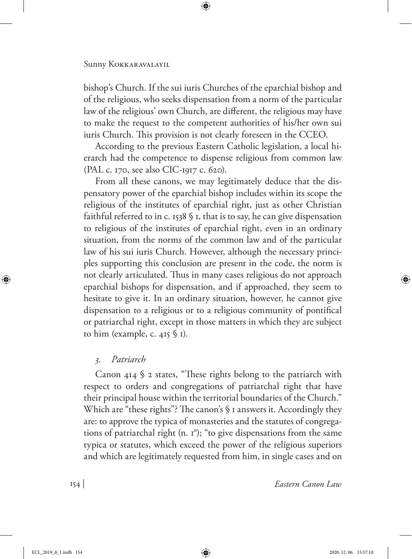bishop's Church. If the sui iuris Churches of the eparchial bishop and of the religious, who seeks dispensation from a norm of the particular law of the religious' own Church, are different, the religious may have to make the request to the competent authorities of his/her own sui iuris Church. This provision is not clearly foreseen in the CCEO.

According to the previous Eastern Catholic legislation, a local hierarch had the competence to dispense religious from common law (PAL c. 170, see also CIC-1917 c. 620).

From all these canons, we may legitimately deduce that the dispensatory power of the eparchial bishop includes within its scope the religious of the institutes of eparchial right, just as other Christian faithful referred to in c. 1538  $\frac{1}{2}$  1, that is to say, he can give dispensation to religious of the institutes of eparchial right, even in an ordinary situation, from the norms of the common law and of the particular law of his sui iuris Church. However, although the necessary principles supporting this conclusion are present in the code, the norm is not clearly articulated. Thus in many cases religious do not approach eparchial bishops for dispensation, and if approached, they seem to hesitate to give it. In an ordinary situation, however, he cannot give dispensation to a religious or to a religious community of pontifical or patriarchal right, except in those matters in which they are subject to him (example, c. 415  $\S$  1).

## *3. Patriarch*

Canon 414 § 2 states, "These rights belong to the patriarch with respect to orders and congregations of patriarchal right that have their principal house within the territorial boundaries of the Church." Which are "these rights"? The canon's § 1 answers it. Accordingly they are: to approve the typica of monasteries and the statutes of congregations of patriarchal right (n. 1°); "to give dispensations from the same typica or statutes, which exceed the power of the religious superiors and which are legitimately requested from him, in single cases and on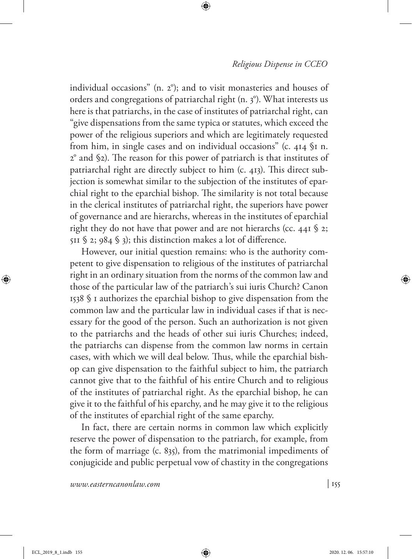individual occasions" (n. 2°); and to visit monasteries and houses of orders and congregations of patriarchal right (n. 3°). What interests us here is that patriarchs, in the case of institutes of patriarchal right, can "give dispensations from the same typica or statutes, which exceed the power of the religious superiors and which are legitimately requested from him, in single cases and on individual occasions" (c. 414 §1 n. 2° and §2). The reason for this power of patriarch is that institutes of patriarchal right are directly subject to him (c. 413). This direct subjection is somewhat similar to the subjection of the institutes of eparchial right to the eparchial bishop. The similarity is not total because in the clerical institutes of patriarchal right, the superiors have power of governance and are hierarchs, whereas in the institutes of eparchial right they do not have that power and are not hierarchs (cc. 441 § 2; 511  $\S$  2; 984  $\S$  3); this distinction makes a lot of difference.

However, our initial question remains: who is the authority competent to give dispensation to religious of the institutes of patriarchal right in an ordinary situation from the norms of the common law and those of the particular law of the patriarch's sui iuris Church? Canon 1538 § 1 authorizes the eparchial bishop to give dispensation from the common law and the particular law in individual cases if that is necessary for the good of the person. Such an authorization is not given to the patriarchs and the heads of other sui iuris Churches; indeed, the patriarchs can dispense from the common law norms in certain cases, with which we will deal below. Thus, while the eparchial bishop can give dispensation to the faithful subject to him, the patriarch cannot give that to the faithful of his entire Church and to religious of the institutes of patriarchal right. As the eparchial bishop, he can give it to the faithful of his eparchy, and he may give it to the religious of the institutes of eparchial right of the same eparchy.

In fact, there are certain norms in common law which explicitly reserve the power of dispensation to the patriarch, for example, from the form of marriage (c. 835), from the matrimonial impediments of conjugicide and public perpetual vow of chastity in the congregations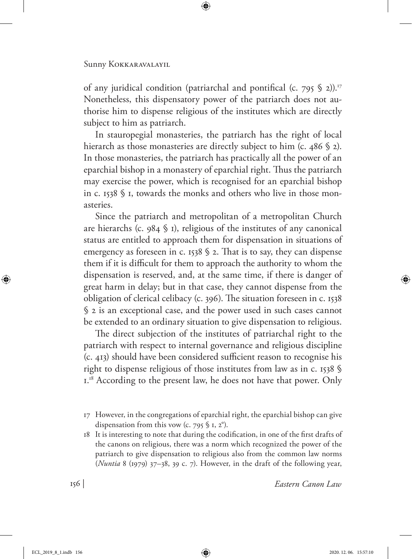of any juridical condition (patriarchal and pontifical (c. 795  $\S$  2)).<sup>17</sup> Nonetheless, this dispensatory power of the patriarch does not authorise him to dispense religious of the institutes which are directly subject to him as patriarch.

In stauropegial monasteries, the patriarch has the right of local hierarch as those monasteries are directly subject to him (c. 486 § 2). In those monasteries, the patriarch has practically all the power of an eparchial bishop in a monastery of eparchial right. Thus the patriarch may exercise the power, which is recognised for an eparchial bishop in c. 1538 § 1, towards the monks and others who live in those monasteries.

Since the patriarch and metropolitan of a metropolitan Church are hierarchs (c. 984  $\frac{6}{9}$  I), religious of the institutes of any canonical status are entitled to approach them for dispensation in situations of emergency as foreseen in c. 1538  $\frac{6}{3}$  2. That is to say, they can dispense them if it is difficult for them to approach the authority to whom the dispensation is reserved, and, at the same time, if there is danger of great harm in delay; but in that case, they cannot dispense from the obligation of clerical celibacy (c. 396). The situation foreseen in c. 1538 § 2 is an exceptional case, and the power used in such cases cannot be extended to an ordinary situation to give dispensation to religious.

The direct subjection of the institutes of patriarchal right to the patriarch with respect to internal governance and religious discipline (c. 413) should have been considered sufficient reason to recognise his right to dispense religious of those institutes from law as in c. 1538 §  $1.^{18}$  According to the present law, he does not have that power. Only

18 It is interesting to note that during the codification, in one of the first drafts of the canons on religious, there was a norm which recognized the power of the patriarch to give dispensation to religious also from the common law norms (*Nuntia* 8 (1979) 37–38, 39 c. 7). However, in the draft of the following year,

<sup>17</sup> However, in the congregations of eparchial right, the eparchial bishop can give dispensation from this vow (c. 795  $$ I, 2^{\circ}$ ).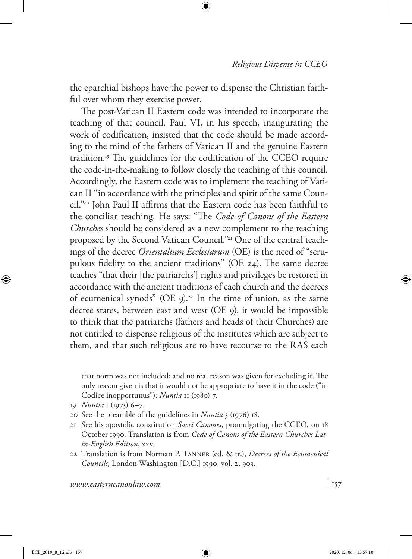the eparchial bishops have the power to dispense the Christian faithful over whom they exercise power.

The post-Vatican II Eastern code was intended to incorporate the teaching of that council. Paul VI, in his speech, inaugurating the work of codification, insisted that the code should be made according to the mind of the fathers of Vatican II and the genuine Eastern tradition.19 The guidelines for the codification of the CCEO require the code-in-the-making to follow closely the teaching of this council. Accordingly, the Eastern code was to implement the teaching of Vatican II "in accordance with the principles and spirit of the same Council."20 John Paul II affirms that the Eastern code has been faithful to the conciliar teaching. He says: "The *Code of Canons of the Eastern Churches* should be considered as a new complement to the teaching proposed by the Second Vatican Council."<sup>21</sup> One of the central teachings of the decree *Orientalium Ecclesiarum* (OE) is the need of "scrupulous fidelity to the ancient traditions" (OE 24). The same decree teaches "that their [the patriarchs'] rights and privileges be restored in accordance with the ancient traditions of each church and the decrees of ecumenical synods" (OE 9).<sup>22</sup> In the time of union, as the same decree states, between east and west (OE 9), it would be impossible to think that the patriarchs (fathers and heads of their Churches) are not entitled to dispense religious of the institutes which are subject to them, and that such religious are to have recourse to the RAS each

that norm was not included; and no real reason was given for excluding it. The only reason given is that it would not be appropriate to have it in the code ("in Codice inopportunus"): *Nuntia* 11 (1980) 7.

- 19 *Nuntia* 1 (1975) 6–7.
- 20 See the preamble of the guidelines in *Nuntia* 3 (1976) 18.
- 21 See his apostolic constitution *Sacri Canones*, promulgating the CCEO, on 18 October 1990. Translation is from *Code of Canons of the Eastern Churches Latin-English Edition*, xxv.
- 22 Translation is from Norman P. Tanner (ed. & tr.), *Decrees of the Ecumenical Councils*, London-Washington [D.C.] 1990, vol. 2, 903.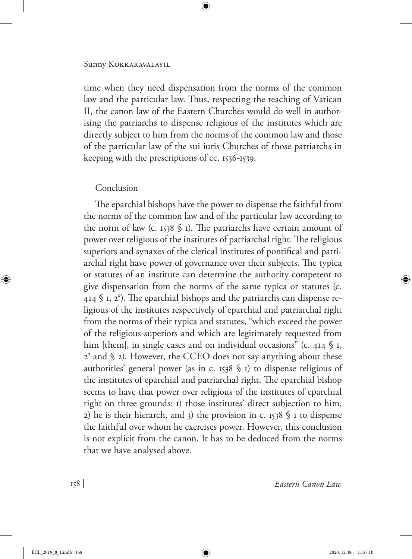time when they need dispensation from the norms of the common law and the particular law. Thus, respecting the teaching of Vatican II, the canon law of the Eastern Churches would do well in authorising the patriarchs to dispense religious of the institutes which are directly subject to him from the norms of the common law and those of the particular law of the sui iuris Churches of those patriarchs in keeping with the prescriptions of cc. 1536-1539.

### Conclusion

The eparchial bishops have the power to dispense the faithful from the norms of the common law and of the particular law according to the norm of law (c. 1538  $\frac{1}{2}$  I). The patriarchs have certain amount of power over religious of the institutes of patriarchal right. The religious superiors and synaxes of the clerical institutes of pontifical and patriarchal right have power of governance over their subjects. The typica or statutes of an institute can determine the authority competent to give dispensation from the norms of the same typica or statutes (c.  $414$  § 1, 2°). The eparchial bishops and the patriarchs can dispense religious of the institutes respectively of eparchial and patriarchal right from the norms of their typica and statutes, "which exceed the power of the religious superiors and which are legitimately requested from him [them], in single cases and on individual occasions" (c. 414  $\frac{6}{3}$  I, 2° and § 2). However, the CCEO does not say anything about these authorities' general power (as in c. 1538 § 1) to dispense religious of the institutes of eparchial and patriarchal right. The eparchial bishop seems to have that power over religious of the institutes of eparchial right on three grounds: 1) those institutes' direct subjection to him, 2) he is their hierarch, and 3) the provision in c. 1538  $\frac{6}{3}$  1 to dispense the faithful over whom he exercises power. However, this conclusion is not explicit from the canon. It has to be deduced from the norms that we have analysed above.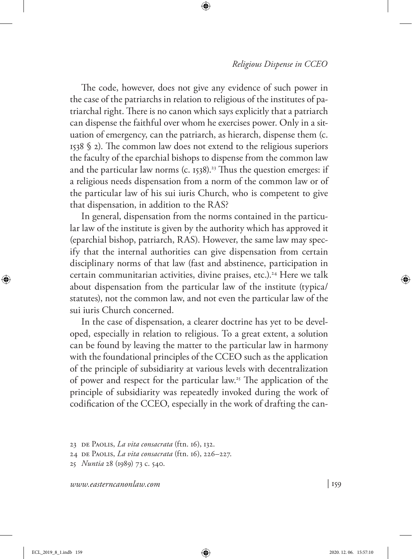The code, however, does not give any evidence of such power in the case of the patriarchs in relation to religious of the institutes of patriarchal right. There is no canon which says explicitly that a patriarch can dispense the faithful over whom he exercises power. Only in a situation of emergency, can the patriarch, as hierarch, dispense them (c. 1538 § 2). The common law does not extend to the religious superiors the faculty of the eparchial bishops to dispense from the common law and the particular law norms (c. 1538).<sup>23</sup> Thus the question emerges: if a religious needs dispensation from a norm of the common law or of the particular law of his sui iuris Church, who is competent to give that dispensation, in addition to the RAS?

In general, dispensation from the norms contained in the particular law of the institute is given by the authority which has approved it (eparchial bishop, patriarch, RAS). However, the same law may specify that the internal authorities can give dispensation from certain disciplinary norms of that law (fast and abstinence, participation in certain communitarian activities, divine praises, etc.).<sup>24</sup> Here we talk about dispensation from the particular law of the institute (typica/ statutes), not the common law, and not even the particular law of the sui iuris Church concerned.

In the case of dispensation, a clearer doctrine has yet to be developed, especially in relation to religious. To a great extent, a solution can be found by leaving the matter to the particular law in harmony with the foundational principles of the CCEO such as the application of the principle of subsidiarity at various levels with decentralization of power and respect for the particular law.25 The application of the principle of subsidiarity was repeatedly invoked during the work of codification of the CCEO, especially in the work of drafting the can-

<sup>23</sup> de Paolis, *La vita consacrata* (ftn. 16), 132.

<sup>24</sup> de Paolis, *La vita consacrata* (ftn. 16), 226–227.

<sup>25</sup> *Nuntia* 28 (1989) 73 c. 540.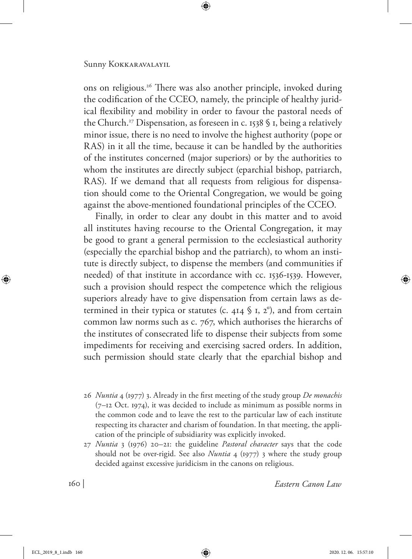ons on religious.26 There was also another principle, invoked during the codification of the CCEO, namely, the principle of healthy juridical flexibility and mobility in order to favour the pastoral needs of the Church.<sup>27</sup> Dispensation, as foreseen in c. 1538 § 1, being a relatively minor issue, there is no need to involve the highest authority (pope or RAS) in it all the time, because it can be handled by the authorities of the institutes concerned (major superiors) or by the authorities to whom the institutes are directly subject (eparchial bishop, patriarch, RAS). If we demand that all requests from religious for dispensation should come to the Oriental Congregation, we would be going against the above-mentioned foundational principles of the CCEO.

Finally, in order to clear any doubt in this matter and to avoid all institutes having recourse to the Oriental Congregation, it may be good to grant a general permission to the ecclesiastical authority (especially the eparchial bishop and the patriarch), to whom an institute is directly subject, to dispense the members (and communities if needed) of that institute in accordance with cc. 1536-1539. However, such a provision should respect the competence which the religious superiors already have to give dispensation from certain laws as determined in their typica or statutes (c. 414  $\frac{6}{3}$  I, 2<sup>o</sup>), and from certain common law norms such as c. 767, which authorises the hierarchs of the institutes of consecrated life to dispense their subjects from some impediments for receiving and exercising sacred orders. In addition, such permission should state clearly that the eparchial bishop and

- 26 *Nuntia* 4 (1977) 3. Already in the first meeting of the study group *De monachis* (7–12 Oct. 1974), it was decided to include as minimum as possible norms in the common code and to leave the rest to the particular law of each institute respecting its character and charism of foundation. In that meeting, the application of the principle of subsidiarity was explicitly invoked.
- 27 *Nuntia* 3 (1976) 20–21: the guideline *Pastoral character* says that the code should not be over-rigid. See also *Nuntia* 4 (1977) 3 where the study group decided against excessive juridicism in the canons on religious.